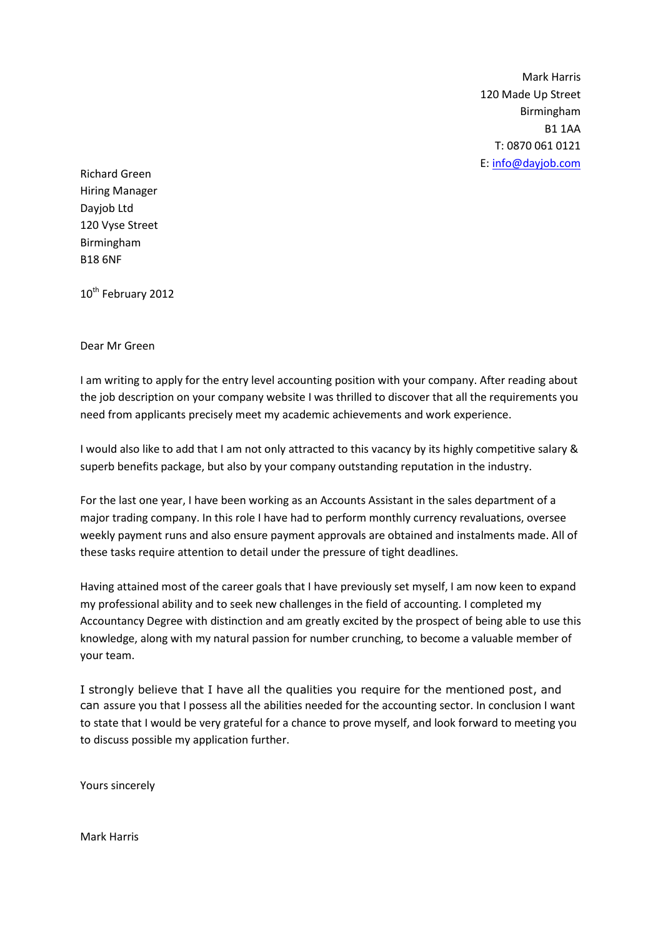Mark Harris 120 Made Up Street Birmingham B1 1AA T: 0870 061 0121 E: [info@dayjob.com](mailto:info@dayjob.com)

Richard Green Hiring Manager Dayjob Ltd 120 Vyse Street Birmingham B18 6NF

10<sup>th</sup> February 2012

## Dear Mr Green

I am writing to apply for the entry level accounting position with your company. After reading about the job description on your company website I was thrilled to discover that all the requirements you need from applicants precisely meet my academic achievements and work experience.

I would also like to add that I am not only attracted to this vacancy by its highly competitive salary & superb benefits package, but also by your company outstanding reputation in the industry.

For the last one year, I have been working as an Accounts Assistant in the sales department of a major trading company. In this role I have had to perform monthly currency revaluations, oversee weekly payment runs and also ensure payment approvals are obtained and instalments made. All of these tasks require attention to detail under the pressure of tight deadlines.

Having attained most of the career goals that I have previously set myself, I am now keen to expand my professional ability and to seek new challenges in the field of accounting. I completed my Accountancy Degree with distinction and am greatly excited by the prospect of being able to use this knowledge, along with my natural passion for number crunching, to become a valuable member of your team.

I strongly believe that I have all the qualities you require for the mentioned post, and can assure you that I possess all the abilities needed for the accounting sector. In conclusion I want to state that I would be very grateful for a chance to prove myself, and look forward to meeting you to discuss possible my application further.

Yours sincerely

Mark Harris